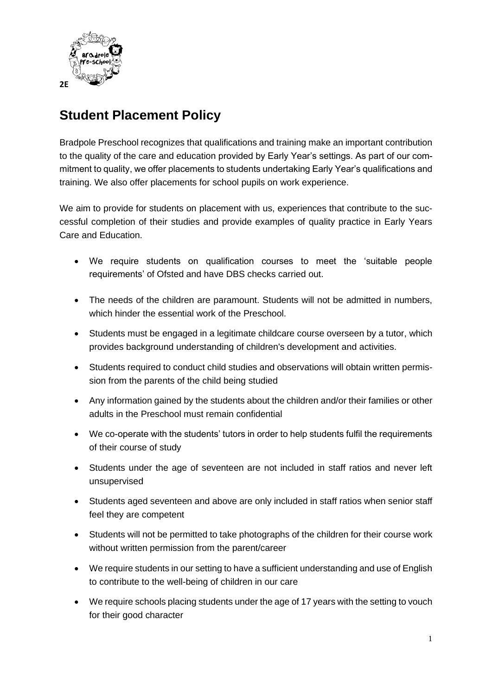

## **Student Placement Policy**

Bradpole Preschool recognizes that qualifications and training make an important contribution to the quality of the care and education provided by Early Year's settings. As part of our commitment to quality, we offer placements to students undertaking Early Year's qualifications and training. We also offer placements for school pupils on work experience.

We aim to provide for students on placement with us, experiences that contribute to the successful completion of their studies and provide examples of quality practice in Early Years Care and Education.

- We require students on qualification courses to meet the 'suitable people requirements' of Ofsted and have DBS checks carried out.
- The needs of the children are paramount. Students will not be admitted in numbers, which hinder the essential work of the Preschool.
- Students must be engaged in a legitimate childcare course overseen by a tutor, which provides background understanding of children's development and activities.
- Students required to conduct child studies and observations will obtain written permission from the parents of the child being studied
- Any information gained by the students about the children and/or their families or other adults in the Preschool must remain confidential
- We co-operate with the students' tutors in order to help students fulfil the requirements of their course of study
- Students under the age of seventeen are not included in staff ratios and never left unsupervised
- Students aged seventeen and above are only included in staff ratios when senior staff feel they are competent
- Students will not be permitted to take photographs of the children for their course work without written permission from the parent/career
- We require students in our setting to have a sufficient understanding and use of English to contribute to the well-being of children in our care
- We require schools placing students under the age of 17 years with the setting to vouch for their good character